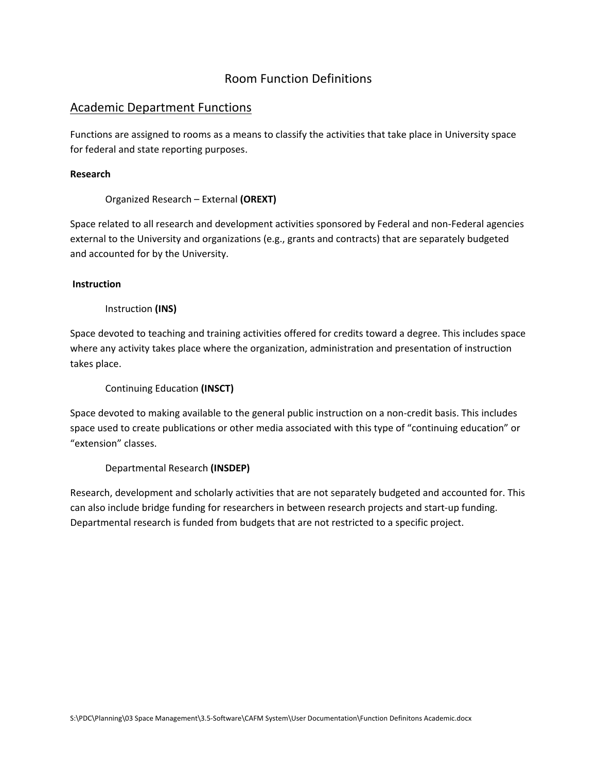# Room Function Definitions

# Academic Department Functions

Functions are assigned to rooms as a means to classify the activities that take place in University space for federal and state reporting purposes.

# **Research**

Organized Research – External **(OREXT)**

Space related to all research and development activities sponsored by Federal and non‐Federal agencies external to the University and organizations (e.g., grants and contracts) that are separately budgeted and accounted for by the University.

# **Instruction**

# Instruction **(INS)**

Space devoted to teaching and training activities offered for credits toward a degree. This includes space where any activity takes place where the organization, administration and presentation of instruction takes place.

Continuing Education **(INSCT)**

Space devoted to making available to the general public instruction on a non‐credit basis. This includes space used to create publications or other media associated with this type of "continuing education" or "extension" classes.

# Departmental Research **(INSDEP)**

Research, development and scholarly activities that are not separately budgeted and accounted for. This can also include bridge funding for researchers in between research projects and start‐up funding. Departmental research is funded from budgets that are not restricted to a specific project.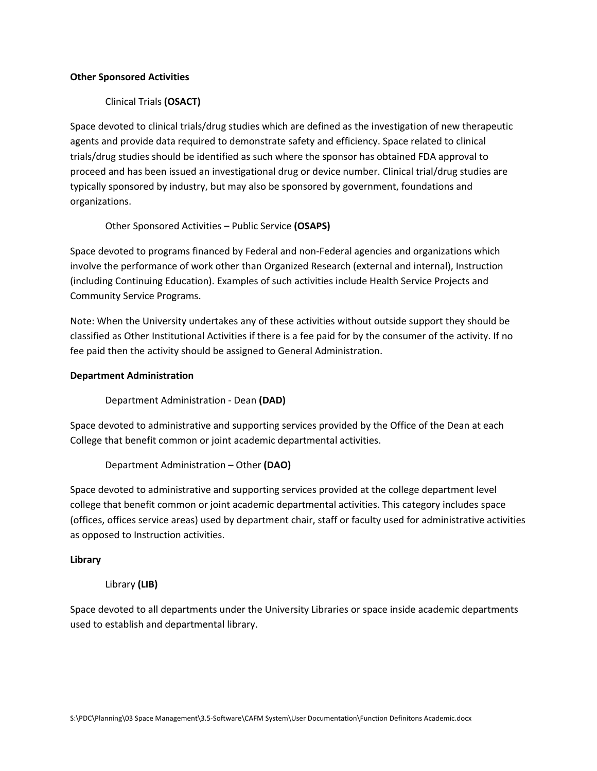#### **Other Sponsored Activities**

# Clinical Trials **(OSACT)**

Space devoted to clinical trials/drug studies which are defined as the investigation of new therapeutic agents and provide data required to demonstrate safety and efficiency. Space related to clinical trials/drug studies should be identified as such where the sponsor has obtained FDA approval to proceed and has been issued an investigational drug or device number. Clinical trial/drug studies are typically sponsored by industry, but may also be sponsored by government, foundations and organizations.

Other Sponsored Activities – Public Service **(OSAPS)**

Space devoted to programs financed by Federal and non‐Federal agencies and organizations which involve the performance of work other than Organized Research (external and internal), Instruction (including Continuing Education). Examples of such activities include Health Service Projects and Community Service Programs.

Note: When the University undertakes any of these activities without outside support they should be classified as Other Institutional Activities if there is a fee paid for by the consumer of the activity. If no fee paid then the activity should be assigned to General Administration.

#### **Department Administration**

Department Administration ‐ Dean **(DAD)**

Space devoted to administrative and supporting services provided by the Office of the Dean at each College that benefit common or joint academic departmental activities.

Department Administration – Other **(DAO)**

Space devoted to administrative and supporting services provided at the college department level college that benefit common or joint academic departmental activities. This category includes space (offices, offices service areas) used by department chair, staff or faculty used for administrative activities as opposed to Instruction activities.

# **Library**

# Library **(LIB)**

Space devoted to all departments under the University Libraries or space inside academic departments used to establish and departmental library.